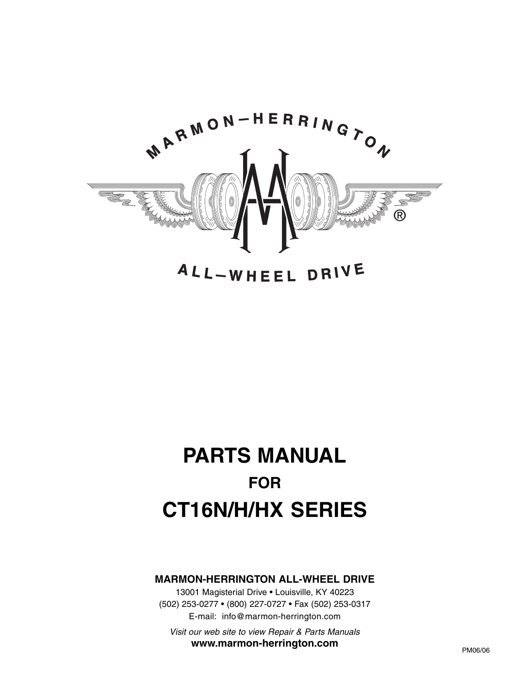

## ALL-WHEEL DRIVE

## **PARTS MANUAL FOR CT16N/H/HX SERIES**

**MARMON-HERRINGTON ALL-WHEEL DRIVE**

13001 Magisterial Drive • Louisville, KY 40223 (502) 253-0277 • (800) 227-0727 • Fax (502) 253-0317 E-mail: info@marmon-herrington.com

*Visit our web site to view Repair & Parts Manuals* **www.marmon-herrington.com**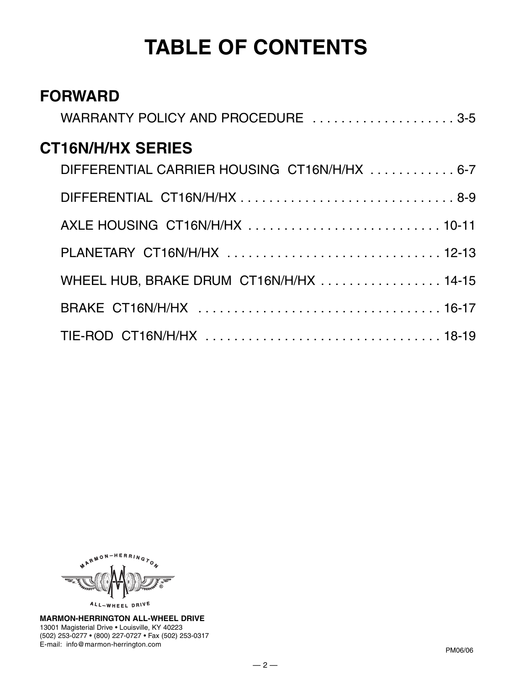## **TABLE OF CONTENTS**

## **FORWARD** WARRANTY POLICY AND PROCEDURE ...................... 3-5 **CT16N/H/HX SERIES** DIFFERENTIAL CARRIER HOUSING CT16N/H/HX . . . . . . . . . . . . 6-7 DIFFERENTIAL CT16N/H/HX . . . . . . . . . . . . . . . . . . . . . . . . . . . . . . 8-9 AXLE HOUSING CT16N/H/HX . . . . . . . . . . . . . . . . . . . . . . . . . . . 10-11 PLANETARY CT16N/H/HX . . . . . . . . . . . . . . . . . . . . . . . . . . . . . . 12-13 WHEEL HUB, BRAKE DRUM CT16N/H/HX . . . . . . . . . . . . . . . . . 14-15 BRAKE CT16N/H/HX . . . . . . . . . . . . . . . . . . . . . . . . . . . . . . . . . . 16-17 TIE-ROD CT16N/H/HX . . . . . . . . . . . . . . . . . . . . . . . . . . . . . . . . . 18-19



**MARMON-HERRINGTON ALL-WHEEL DRIVE** 13001 Magisterial Drive • Louisville, KY 40223 (502) 253-0277 • (800) 227-0727 • Fax (502) 253-0317 E-mail: info@marmon-herrington.com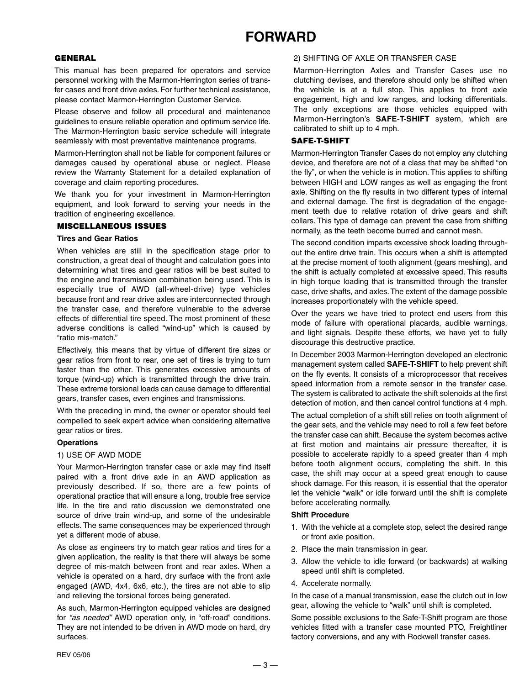### **FORWARD**

#### **GENERAL**

This manual has been prepared for operators and service personnel working with the Marmon-Herrington series of transfer cases and front drive axles. For further technical assistance, please contact Marmon-Herrington Customer Service.

Please observe and follow all procedural and maintenance guidelines to ensure reliable operation and optimum service life. The Marmon-Herrington basic service schedule will integrate seamlessly with most preventative maintenance programs.

Marmon-Herrington shall not be liable for component failures or damages caused by operational abuse or neglect. Please review the Warranty Statement for a detailed explanation of coverage and claim reporting procedures.

We thank you for your investment in Marmon-Herrington equipment, and look forward to serving your needs in the tradition of engineering excellence.

#### **MISCELLANEOUS ISSUES**

#### **Tires and Gear Ratios**

When vehicles are still in the specification stage prior to construction, a great deal of thought and calculation goes into determining what tires and gear ratios will be best suited to the engine and transmission combination being used. This is especially true of AWD (all-wheel-drive) type vehicles because front and rear drive axles are interconnected through the transfer case, and therefore vulnerable to the adverse effects of differential tire speed. The most prominent of these adverse conditions is called "wind-up" which is caused by "ratio mis-match."

Effectively, this means that by virtue of different tire sizes or gear ratios from front to rear, one set of tires is trying to turn faster than the other. This generates excessive amounts of torque (wind-up) which is transmitted through the drive train. These extreme torsional loads can cause damage to differential gears, transfer cases, even engines and transmissions.

With the preceding in mind, the owner or operator should feel compelled to seek expert advice when considering alternative gear ratios or tires.

#### **Operations**

#### 1) USE OF AWD MODE

Your Marmon-Herrington transfer case or axle may find itself paired with a front drive axle in an AWD application as previously described. If so, there are a few points of operational practice that will ensure a long, trouble free service life. In the tire and ratio discussion we demonstrated one source of drive train wind-up, and some of the undesirable effects. The same consequences may be experienced through yet a different mode of abuse.

As close as engineers try to match gear ratios and tires for a given application, the reality is that there will always be some degree of mis-match between front and rear axles. When a vehicle is operated on a hard, dry surface with the front axle engaged (AWD, 4x4, 6x6, etc.), the tires are not able to slip and relieving the torsional forces being generated.

As such, Marmon-Herrington equipped vehicles are designed for *"as needed"* AWD operation only, in "off-road" conditions. They are not intended to be driven in AWD mode on hard, dry surfaces.

#### 2) SHIFTING OF AXLE OR TRANSFER CASE

Marmon-Herrington Axles and Transfer Cases use no clutching devises, and therefore should only be shifted when the vehicle is at a full stop. This applies to front axle engagement, high and low ranges, and locking differentials. The only exceptions are those vehicles equipped with Marmon-Herrington's **SAFE-T-SHIFT** system, which are calibrated to shift up to 4 mph.

#### **SAFE-T-SHIFT**

Marmon-Herrington Transfer Cases do not employ any clutching device, and therefore are not of a class that may be shifted "on the fly", or when the vehicle is in motion. This applies to shifting between HIGH and LOW ranges as well as engaging the front axle. Shifting on the fly results in two different types of internal and external damage. The first is degradation of the engagement teeth due to relative rotation of drive gears and shift collars. This type of damage can prevent the case from shifting normally, as the teeth become burred and cannot mesh.

The second condition imparts excessive shock loading throughout the entire drive train. This occurs when a shift is attempted at the precise moment of tooth alignment (gears meshing), and the shift is actually completed at excessive speed. This results in high torque loading that is transmitted through the transfer case, drive shafts, and axles.The extent of the damage possible increases proportionately with the vehicle speed.

Over the years we have tried to protect end users from this mode of failure with operational placards, audible warnings, and light signals. Despite these efforts, we have yet to fully discourage this destructive practice.

In December 2003 Marmon-Herrington developed an electronic management system called **SAFE-T-SHIFT** to help prevent shift on the fly events. It consists of a microprocessor that receives speed information from a remote sensor in the transfer case. The system is calibrated to activate the shift solenoids at the first detection of motion, and then cancel control functions at 4 mph.

The actual completion of a shift still relies on tooth alignment of the gear sets, and the vehicle may need to roll a few feet before the transfer case can shift. Because the system becomes active at first motion and maintains air pressure thereafter, it is possible to accelerate rapidly to a speed greater than 4 mph before tooth alignment occurs, completing the shift. In this case, the shift may occur at a speed great enough to cause shock damage. For this reason, it is essential that the operator let the vehicle "walk" or idle forward until the shift is complete before accelerating normally.

#### **Shift Procedure**

- 1. With the vehicle at a complete stop, select the desired range or front axle position.
- 2. Place the main transmission in gear.
- 3. Allow the vehicle to idle forward (or backwards) at walking speed until shift is completed.
- 4. Accelerate normally.

In the case of a manual transmission, ease the clutch out in low gear, allowing the vehicle to "walk" until shift is completed.

Some possible exclusions to the Safe-T-Shift program are those vehicles fitted with a transfer case mounted PTO, Freightliner factory conversions, and any with Rockwell transfer cases.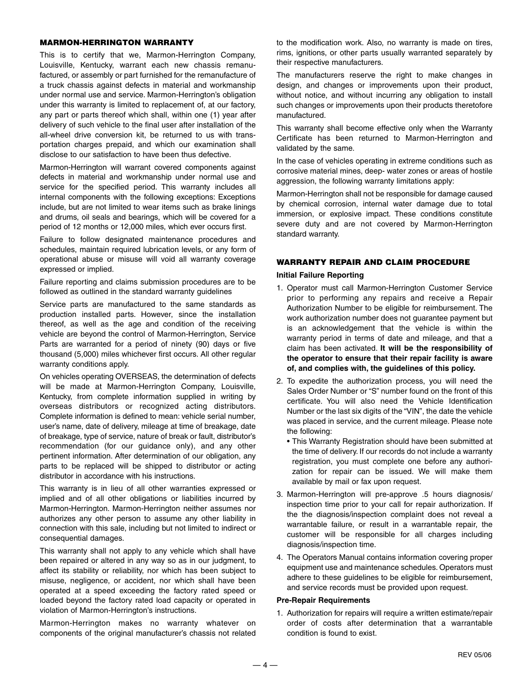#### **MARMON-HERRINGTON WARRANTY**

This is to certify that we, Marmon-Herrington Company, Louisville, Kentucky, warrant each new chassis remanufactured, or assembly or part furnished for the remanufacture of a truck chassis against defects in material and workmanship under normal use and service. Marmon-Herrington's obligation under this warranty is limited to replacement of, at our factory, any part or parts thereof which shall, within one (1) year after delivery of such vehicle to the final user after installation of the all-wheel drive conversion kit, be returned to us with transportation charges prepaid, and which our examination shall disclose to our satisfaction to have been thus defective.

Marmon-Herrington will warrant covered components against defects in material and workmanship under normal use and service for the specified period. This warranty includes all internal components with the following exceptions: Exceptions include, but are not limited to wear items such as brake linings and drums, oil seals and bearings, which will be covered for a period of 12 months or 12,000 miles, which ever occurs first.

Failure to follow designated maintenance procedures and schedules, maintain required lubrication levels, or any form of operational abuse or misuse will void all warranty coverage expressed or implied.

Failure reporting and claims submission procedures are to be followed as outlined in the standard warranty guidelines

Service parts are manufactured to the same standards as production installed parts. However, since the installation thereof, as well as the age and condition of the receiving vehicle are beyond the control of Marmon-Herrington, Service Parts are warranted for a period of ninety (90) days or five thousand (5,000) miles whichever first occurs. All other regular warranty conditions apply.

On vehicles operating OVERSEAS, the determination of defects will be made at Marmon-Herrington Company, Louisville, Kentucky, from complete information supplied in writing by overseas distributors or recognized acting distributors. Complete information is defined to mean: vehicle serial number, user's name, date of delivery, mileage at time of breakage, date of breakage, type of service, nature of break or fault, distributor's recommendation (for our guidance only), and any other pertinent information. After determination of our obligation, any parts to be replaced will be shipped to distributor or acting distributor in accordance with his instructions.

This warranty is in lieu of all other warranties expressed or implied and of all other obligations or liabilities incurred by Marmon-Herrington. Marmon-Herrington neither assumes nor authorizes any other person to assume any other liability in connection with this sale, including but not limited to indirect or consequential damages.

This warranty shall not apply to any vehicle which shall have been repaired or altered in any way so as in our judgment, to affect its stability or reliability, nor which has been subject to misuse, negligence, or accident, nor which shall have been operated at a speed exceeding the factory rated speed or loaded beyond the factory rated load capacity or operated in violation of Marmon-Herrington's instructions.

Marmon-Herrington makes no warranty whatever on components of the original manufacturer's chassis not related to the modification work. Also, no warranty is made on tires, rims, ignitions, or other parts usually warranted separately by their respective manufacturers.

The manufacturers reserve the right to make changes in design, and changes or improvements upon their product, without notice, and without incurring any obligation to install such changes or improvements upon their products theretofore manufactured.

This warranty shall become effective only when the Warranty Certificate has been returned to Marmon-Herrington and validated by the same.

In the case of vehicles operating in extreme conditions such as corrosive material mines, deep- water zones or areas of hostile aggression, the following warranty limitations apply:

Marmon-Herrington shall not be responsible for damage caused by chemical corrosion, internal water damage due to total immersion, or explosive impact. These conditions constitute severe duty and are not covered by Marmon-Herrington standard warranty.

#### **WARRANTY REPAIR AND CLAIM PROCEDURE**

#### **Initial Failure Reporting**

- 1. Operator must call Marmon-Herrington Customer Service prior to performing any repairs and receive a Repair Authorization Number to be eligible for reimbursement. The work authorization number does not guarantee payment but is an acknowledgement that the vehicle is within the warranty period in terms of date and mileage, and that a claim has been activated. **It will be the responsibility of the operator to ensure that their repair facility is aware of, and complies with, the guidelines of this policy.**
- 2. To expedite the authorization process, you will need the Sales Order Number or "S" number found on the front of this certificate. You will also need the Vehicle Identification Number or the last six digits of the "VIN", the date the vehicle was placed in service, and the current mileage. Please note the following:
	- This Warranty Registration should have been submitted at the time of delivery. If our records do not include a warranty registration, you must complete one before any authorization for repair can be issued. We will make them available by mail or fax upon request.
- 3. Marmon-Herrington will pre-approve .5 hours diagnosis/ inspection time prior to your call for repair authorization. If the the diagnosis/inspection complaint does not reveal a warrantable failure, or result in a warrantable repair, the customer will be responsible for all charges including diagnosis/inspection time.
- 4. The Operators Manual contains information covering proper equipment use and maintenance schedules. Operators must adhere to these guidelines to be eligible for reimbursement, and service records must be provided upon request.

#### **Pre-Repair Requirements**

1. Authorization for repairs will require a written estimate/repair order of costs after determination that a warrantable condition is found to exist.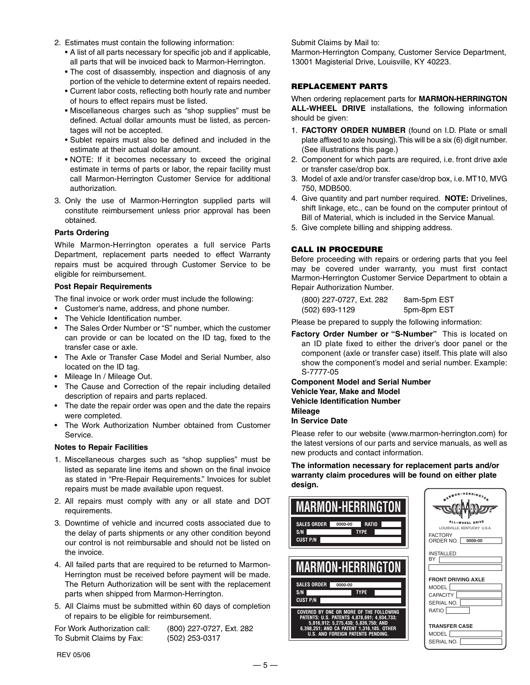- 2. Estimates must contain the following information:
	- A list of all parts necessary for specific job and if applicable, all parts that will be invoiced back to Marmon-Herrington.
	- The cost of disassembly, inspection and diagnosis of any portion of the vehicle to determine extent of repairs needed.
	- Current labor costs, reflecting both hourly rate and number of hours to effect repairs must be listed.
	- Miscellaneous charges such as "shop supplies" must be defined. Actual dollar amounts must be listed, as percentages will not be accepted.
	- Sublet repairs must also be defined and included in the estimate at their actual dollar amount.
	- NOTE: If it becomes necessary to exceed the original estimate in terms of parts or labor, the repair facility must call Marmon-Herrington Customer Service for additional authorization.
- 3. Only the use of Marmon-Herrington supplied parts will constitute reimbursement unless prior approval has been obtained.

#### **Parts Ordering**

While Marmon-Herrington operates a full service Parts Department, replacement parts needed to effect Warranty repairs must be acquired through Customer Service to be eligible for reimbursement.

#### **Post Repair Requirements**

The final invoice or work order must include the following:

- Customer's name, address, and phone number.
- The Vehicle Identification number.
- The Sales Order Number or "S" number, which the customer can provide or can be located on the ID tag, fixed to the transfer case or axle.
- The Axle or Transfer Case Model and Serial Number, also located on the ID tag.
- Mileage In / Mileage Out.
- The Cause and Correction of the repair including detailed description of repairs and parts replaced.
- The date the repair order was open and the date the repairs were completed.
- The Work Authorization Number obtained from Customer Service.

#### **Notes to Repair Facilities**

- 1. Miscellaneous charges such as "shop supplies" must be listed as separate line items and shown on the final invoice as stated in "Pre-Repair Requirements." Invoices for sublet repairs must be made available upon request.
- 2. All repairs must comply with any or all state and DOT requirements.
- 3. Downtime of vehicle and incurred costs associated due to the delay of parts shipments or any other condition beyond our control is not reimbursable and should not be listed on the invoice.
- 4. All failed parts that are required to be returned to Marmon-Herrington must be received before payment will be made. The Return Authorization will be sent with the replacement parts when shipped from Marmon-Herrington.
- 5. All Claims must be submitted within 60 days of completion of repairs to be eligible for reimbursement.

For Work Authorization call: (800) 227-0727, Ext. 282 To Submit Claims by Fax: (502) 253-0317

Submit Claims by Mail to:

Marmon-Herrington Company, Customer Service Department, 13001 Magisterial Drive, Louisville, KY 40223.

#### **REPLACEMENT PARTS**

When ordering replacement parts for **MARMON-HERRINGTON ALL-WHEEL DRIVE** installations, the following information should be given:

- 1. **FACTORY ORDER NUMBER** (found on I.D. Plate or small plate affixed to axle housing).This will be a six (6) digit number. (See illustrations this page.)
- 2. Component for which parts are required, i.e. front drive axle or transfer case/drop box.
- 3. Model of axle and/or transfer case/drop box, i.e. MT10, MVG 750, MDB500.
- 4. Give quantity and part number required. **NOTE:** Drivelines, shift linkage, etc., can be found on the computer printout of Bill of Material, which is included in the Service Manual.
- 5. Give complete billing and shipping address.

#### **CALL IN PROCEDURE**

Before proceeding with repairs or ordering parts that you feel may be covered under warranty, you must first contact Marmon-Herrington Customer Service Department to obtain a Repair Authorization Number.

| (800) 227-0727, Ext. 282 | 8am-5pm EST |
|--------------------------|-------------|
| (502) 693-1129           | 5pm-8pm EST |

Please be prepared to supply the following information:

**Factory Order Number or "S-Number"** This is located on an ID plate fixed to either the driver's door panel or the component (axle or transfer case) itself. This plate will also show the component's model and serial number. Example: S-7777-05

**Component Model and Serial Number Vehicle Year, Make and Model Vehicle Identification Number Mileage In Service Date**

Please refer to our website (www.marmon-herrington.com) for the latest versions of our parts and service manuals, as well as new products and contact information.

**The information necessary for replacement parts and/or warranty claim procedures will be found on either plate** design.

| <b>MARMON-HERRINGTON</b><br><b>SALES ORDER</b><br><b>RATIO</b><br>0000-00<br><b>TYPE</b><br>S/N<br><b>CUST P/N</b>                                                                                               | <b>RMON-HEARINGTO</b><br><b>ALL-WHEEL DRIVE</b><br>LOUISVILLE, KENTUCKY U.S.A.<br><b>FACTORY</b><br>0000-00<br>ORDER NO. |
|------------------------------------------------------------------------------------------------------------------------------------------------------------------------------------------------------------------|--------------------------------------------------------------------------------------------------------------------------|
| <b>MARMON-HERRINGTON</b>                                                                                                                                                                                         | <b>INSTALLED</b><br><b>BY</b>                                                                                            |
| <b>SALES ORDER</b><br>0000-00<br><b>TYPE</b><br>S/N<br><b>CUST P/N</b>                                                                                                                                           | <b>FRONT DRIVING AXLE</b><br><b>MODEL</b><br><b>CAPACITY</b><br>SERIAL NO.                                               |
| COVERED BY ONE OR MORE OF THE FOLLOWING<br>PATENTS: U.S. PATENTS 4,878,691; 4,934,733;<br>5,016,912; 5,275,430; 5,839,750; AND<br>6,398,251; AND CA PATENT 1,316,185. OTHER<br>U.S. AND FOREIGN PATENTS PENDING. | <b>RATIO</b><br><b>TRANSFER CASE</b><br><b>MODEL</b><br>SERIAL NO.                                                       |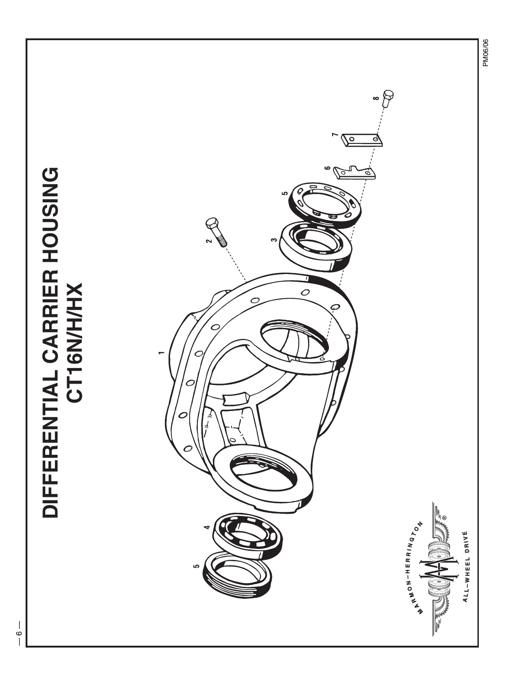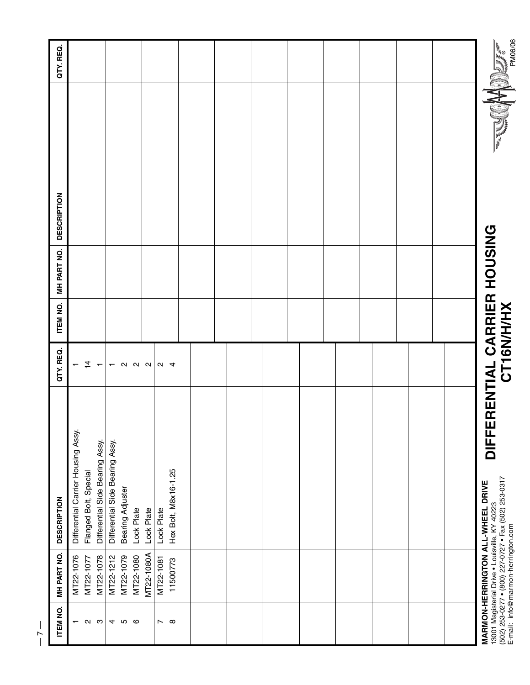|                                           | DIFFERENTIAL CARRIER HOUSING                   | CT16N/H/H)                                                                                 |  |
|-------------------------------------------|------------------------------------------------|--------------------------------------------------------------------------------------------|--|
| <b>"ARWON-FERRING ION ALL-WFEEL DRIVE</b> | '3001 Magisterial Drive . Louisville, KY 40223 | (502) 253-0277 • (800) 227-0727 • Fax (502) 253-0317<br>E-mail: info@marmon-herrington.com |  |

# DIFFERENTIAL CARRIER HOUSING<br>CT16N/H/HX **DIFFERENTIAL CARRIER HOUSING CT16N/H/HX**

13001 Magisterial Drive • Louisville, KY 40223<br>(502) 253-0277 • (800) 227-0727 • Fax (502) 253-0317<br>E-mail: info@marmon-herrington.com (502) 253-0277 • (800) 227-0727 • Fax (502) 253-0317 **MARMON-HERRINGTON ALL-WHEEL DRIVE** 13001 Magisterial Drive • Louisville, KY 40223

| ITEM NO.                                      | MH PART NO.            | <b>DESCRIPTION</b>                                                 | QTY. REQ.                                  | ITEM NO. | <b>MH PART NO.</b> | <b>DESCRIPTION</b> | QTY. REQ. |
|-----------------------------------------------|------------------------|--------------------------------------------------------------------|--------------------------------------------|----------|--------------------|--------------------|-----------|
| $\alpha$ $\alpha$<br>$\overline{\phantom{0}}$ | MT22-1076<br>MT22-1077 | Differential Carrier Housing Assy.<br>Flanged Bolt, Special        | $-4$                                       |          |                    |                    |           |
|                                               | MT22-1078<br>MT22-1212 | Differential Side Bearing Assy.<br>Differential Side Bearing Assy. | $\overline{ }$<br>$\overline{\phantom{0}}$ |          |                    |                    |           |
| 456                                           | MT22-1079              | Bearing Adjuster                                                   | $\sim$                                     |          |                    |                    |           |
|                                               | MT22-1080              | Lock Plate                                                         | $N$ $N$                                    |          |                    |                    |           |
|                                               | MT22-1080A             | Lock Plate                                                         |                                            |          |                    |                    |           |
| $\sim$ $\infty$                               | MT22-1081              | Lock Plate                                                         | $\alpha$ 4                                 |          |                    |                    |           |
|                                               | 11500773               | Hex Bolt, M8x16-1.25                                               |                                            |          |                    |                    |           |
|                                               |                        |                                                                    |                                            |          |                    |                    |           |
|                                               |                        |                                                                    |                                            |          |                    |                    |           |
|                                               |                        |                                                                    |                                            |          |                    |                    |           |
|                                               |                        |                                                                    |                                            |          |                    |                    |           |
|                                               |                        |                                                                    |                                            |          |                    |                    |           |
|                                               |                        |                                                                    |                                            |          |                    |                    |           |
|                                               |                        |                                                                    |                                            |          |                    |                    |           |
|                                               |                        |                                                                    |                                            |          |                    |                    |           |
|                                               |                        |                                                                    |                                            |          |                    |                    |           |
|                                               |                        |                                                                    |                                            |          |                    |                    |           |
|                                               |                        |                                                                    |                                            |          |                    |                    |           |
|                                               |                        |                                                                    |                                            |          |                    |                    |           |
|                                               |                        |                                                                    |                                            |          |                    |                    |           |
|                                               |                        |                                                                    |                                            |          |                    |                    |           |
|                                               |                        |                                                                    |                                            |          |                    |                    |           |
|                                               |                        |                                                                    |                                            |          |                    |                    |           |
|                                               |                        | ı<br>ししこく<br>MARMON-HERRINGTON ALL-WHEEL DRIVE                     |                                            |          | $\frac{1}{2}$<br>Ć | $\overline{L}$     |           |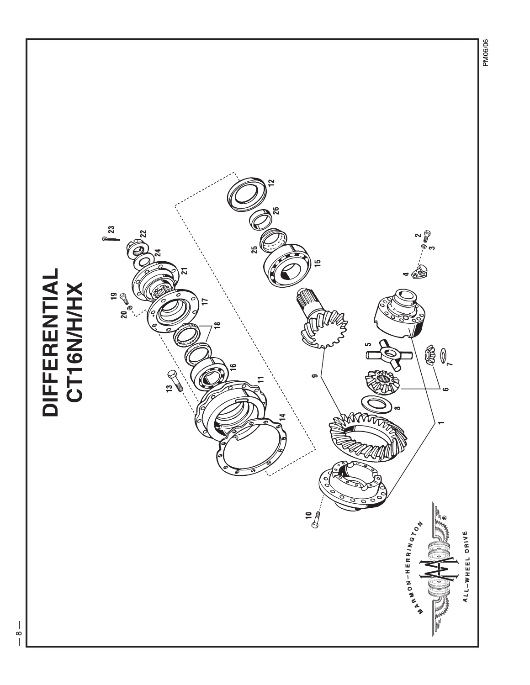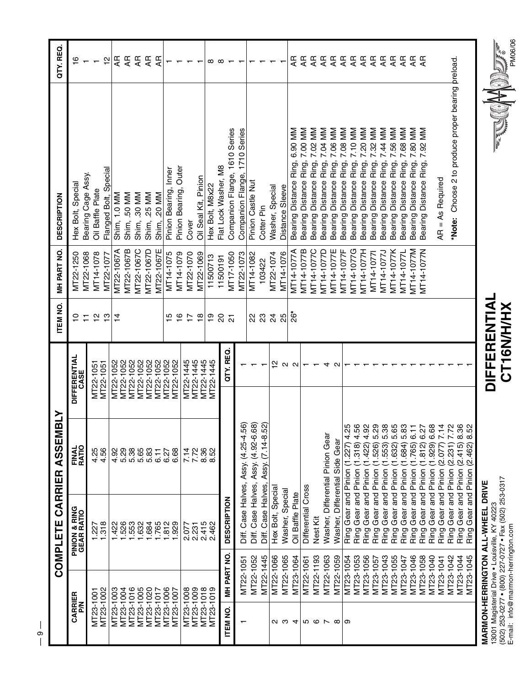|                        |                                    | CARRIER<br>COMPLETE                                  | <b>ASSEMBLY</b>                                        |                             | ITEM NO.                        | MH PART NO.            | <b>DESCRIPTION</b>                                    | QTY. REQ.               |
|------------------------|------------------------------------|------------------------------------------------------|--------------------------------------------------------|-----------------------------|---------------------------------|------------------------|-------------------------------------------------------|-------------------------|
| CARRIER<br>ξ           |                                    | PINION & RING<br>GEAR RATIO                          | FINAL<br>RATIO                                         | <b>DIFFERENTIAL</b><br>CASE | ₽<br>$\equiv$                   | MT22-1068<br>MT22-1250 | Bearing Cage Assy.<br>Hex Bolt, Special               | ۽                       |
| MT23-1002<br>MT23-1001 |                                    | 1.318<br>1.227                                       | 4.56<br>4.56                                           | MT22-1051<br>MT22-1051      | $\overline{a}$<br>$\frac{1}{2}$ | MT14-1078<br>MT22-1077 | Flanged Bolt, Special<br>Oil Baffle Plate             | $\frac{2}{3}$           |
| MT23-1003              |                                    | 422                                                  |                                                        | MT22-1052                   | 14                              | MT22-1067A             | Shim, 1.0 MM                                          | Æ                       |
| MT23-1016<br>MT23-1004 |                                    | 526<br>553                                           |                                                        | MT22-1052<br>MT22-1052      |                                 | MT22-1067B             | Shim, .50 MM                                          | Æ                       |
| MT23-1005              |                                    | <b>632</b>                                           |                                                        | MT22-1052                   |                                 | MT22-1067C             | Shim, .30 MM                                          | $\overline{A}$          |
| MT23-1020              |                                    | .684                                                 |                                                        | MT22-1052                   |                                 | MT22-1067D             | Shim, .25 MM                                          | Æ                       |
| MT23-1017              |                                    | .765                                                 | 6.11                                                   | MT22-1052                   |                                 | MT22-1067E             | <b>MM 02</b><br>Shim,                                 | Æ                       |
| MT23-1006<br>MT23-1007 |                                    | .812<br>1.929                                        | 6.68<br>6.27                                           | MT22-1052<br>MT22-1052      | ம                               | MT14-1075              | Pinion Bearing, Inner                                 |                         |
|                        |                                    |                                                      |                                                        |                             | $\frac{6}{1}$                   | MT14-1079              | Pinion Bearing, Outer                                 |                         |
| MT23-1008<br>MT23-1009 |                                    | 2.077                                                | 7.72<br>7.14                                           | MT22-1445<br>MT22-1445      | $\overline{1}$                  | MT22-1070              | Cover                                                 |                         |
| MT23-1018              |                                    | 2.251<br>2.415<br>2.462                              | 36<br>$\infty$                                         | MT22-1445                   | $\frac{8}{1}$                   | MT22-1069              | Oil Seal Kit, Pinion                                  | $\mathrel{\mathsf{--}}$ |
| MT23-1019              |                                    |                                                      | 52                                                     | MT22-1445                   | စ္                              | 11500713               | Hex Bolt, M8x22                                       | ∞                       |
| ITEM NO.               | MH PART NO.                        | <b>DESCRIPTION</b>                                   |                                                        | QTY. REQ.                   | $\overline{S}$                  | 11500191               | Flat Lock Washer, M8                                  | $\infty$                |
|                        |                                    |                                                      |                                                        |                             | $\overline{\Omega}$             | MT17-1050              | Companion Flange, 1610 Series                         |                         |
|                        | MT22-1051                          | iif,                                                 | Case Halves, Assy. (4.25-4.56)                         |                             |                                 | MT22-1073              | Companion Flange, 1710 Series                         |                         |
|                        | MT22-1052                          | Diff.                                                | Case Halves, Assy. (4.92-6.68)                         |                             | ನಿ ಬ                            | MT14-1082              | Pinion Castle Nut                                     |                         |
|                        | MT22-1445                          | Diff. Case Halves,                                   | $(7.14 - 8.52)$<br>Assy.                               |                             |                                 | 103422                 | Cotter Pin                                            |                         |
|                        | MT22-1066                          | Hex Bolt, Special                                    |                                                        | $\frac{1}{2}$               | $\overline{2}$                  | MT22-1074              | Washer, Special                                       |                         |
| ດ ຕ                    | MT22-1065                          | Washer, Special                                      |                                                        | $\mathbf{\Omega}$           | 25                              | MT14-1076              | Distance Sleeve                                       |                         |
| 4                      | MT23-1064                          | Oil Baffle Plate                                     |                                                        | $\mathbf{\Omega}$           | ە<br>26                         | MT14-1077A             | MM<br>6.90<br>Ring,<br>Bearing Distance               | Æ                       |
|                        | MT22-1061                          | Differential Cross                                   |                                                        |                             |                                 | MT14-1077B             | MÑ<br>7.00<br>Ring,<br>Bearing Distance               | Æ                       |
| <b>50000</b>           | MT22-1193                          | Nest Kit                                             |                                                        |                             |                                 | MT14-1077C             | MM<br>7.02<br>Ring,<br>Bearing Distance               | Æ                       |
|                        | MT22-1063                          | Washer, Differential Pinion Gear                     |                                                        | 4                           |                                 | MT14-1077D             | MM<br>7.04<br>Ring,<br>Distance<br>Bearing I          | Æ                       |
|                        | MT22-1059                          | Washer, Differential Side Gear                       |                                                        | $\mathbf{\alpha}$           |                                 | MT14-1077E             | ΜM<br>7.06<br>Ring,<br>Bearing Distance               | Æ                       |
| တ                      | MT23-1054                          |                                                      | Ring Gear and Pinion (1.227) 4.25                      |                             |                                 | MT14-1077F             | MM<br>7.08<br>Ring,<br>Distance<br>Bearing            | Æ                       |
|                        | MT23-1053                          | Gear and<br>Ring                                     | 4.56<br>Pinion (1.318)                                 |                             |                                 | MT14-1077G             | MM<br>7.10<br>Ring,<br>Distance<br>Bearing            | Æ<br>ፋ                  |
|                        | MT23-1056                          | Ring Gear and Pinion (1.422)                         | 4.92                                                   |                             |                                 | MT14-1077H             | ΜM<br>7.20<br>Ring,<br>Distance<br>Bearing            |                         |
|                        | MT23-1057                          | Gear and<br>Ring                                     | 5.29<br>Pinion (1.526)                                 |                             |                                 | MT14-10771             | ŠΜ<br>7.32<br>Ring.<br>Distance<br><b>Bearing</b>     | Æ                       |
|                        | MT23-1043                          | Gear and<br>Ring                                     | 5.38<br>(1.553)<br>Pinion                              |                             |                                 | MT14-1077J             | ΜM<br>7.44<br>Ring,<br>Distance<br>Bearing I          | Æ                       |
|                        | MT23-1055                          | Gear and<br>Ring                                     | 5.65<br>(1.632)<br>Pinion                              |                             |                                 | VIT14-1077K            | ΜM<br>7.56<br>Ring,<br>Distance<br>Bearing            | Æ                       |
|                        | MT23-1047                          | Gear and<br>Ring                                     | 5.83<br>(1.684)<br>Pinion                              |                             |                                 | MT14-1077L             | MM<br>7.68<br>Ring,<br>Distance<br>Bearing            | Æ                       |
|                        | MT23-1046                          | Gear and<br>Ring                                     | 6.11<br>(1.765)<br>Pinion                              |                             |                                 | MT14-1077M             | ŠΣ<br>7.80<br>Ring,<br>Distance<br>Bearing            | Æ                       |
|                        | MT23-1058<br>MT23-1040             | Gear and<br>Gear and<br>Ring<br>Ring                 | 6.27<br>6.68<br>(1.929)<br>(1.812)<br>Pinion<br>Pinion |                             |                                 | MT14-1077N             | MM<br>7.92<br>Ring,<br>Bearing Distance               | Æ                       |
|                        | MT23-1041                          | Gear and<br>Ring                                     | 7.14<br>Pinion (2.077)                                 |                             |                                 |                        | AR = As Required                                      |                         |
|                        | MT23-1042                          | Gear and<br>Ring                                     | 7.72<br>Pinion (2.231)                                 |                             |                                 |                        |                                                       |                         |
|                        | MT23-1044                          | Gear and<br>Ring                                     | Pinion (2.415)                                         |                             |                                 |                        | Choose 2 to produce proper bearing preload.<br>*Note: |                         |
|                        | MT23-1045                          | Gear and<br>Ring                                     | 86<br>86<br>88<br>(2.462)<br>Pinion (                  |                             |                                 |                        |                                                       |                         |
|                        |                                    | MARMON-HERRINGTON ALL-WHEEL DRIVE                    |                                                        |                             |                                 |                        |                                                       |                         |
|                        |                                    | 13001 Magisterial Drive . Louisville, KY 40223       |                                                        | <b>DIFFERENTIA</b>          |                                 |                        |                                                       |                         |
|                        |                                    | (502) 253-0277 • (800) 227-0727 • Fax (502) 253-0317 |                                                        |                             | <b>CT16N/HVHX</b>               |                        |                                                       | <b>NUMBER</b>           |
|                        | E-mail: info@marmon-herrington.com |                                                      |                                                        |                             |                                 |                        |                                                       | <b>PM06/06</b>          |

 $-9 -$ 

**ENGLY DELIVERED** e-mail: information-derindering once on the complete computation. In the computation of the computation. In the computation of the computation of  $\mathbf{P}^{\text{max}}$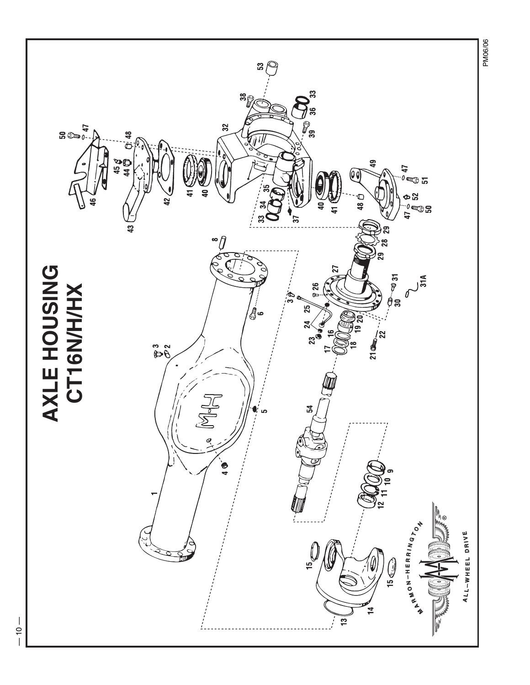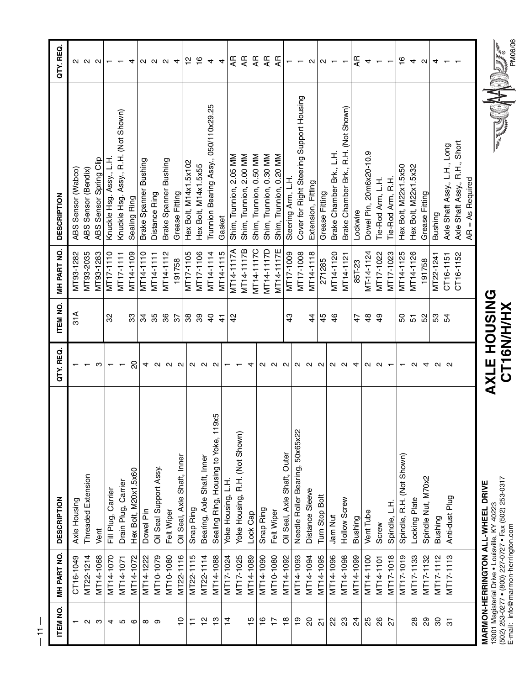| <b>ITEM NO.</b>         | MH PART NO. | <b>DESCRIPTION</b>                       | QTY. REQ.                | ITEM NO.       | MH PART NO.       | <b>DESCRIPTION</b>                       | QTY. REQ.         |
|-------------------------|-------------|------------------------------------------|--------------------------|----------------|-------------------|------------------------------------------|-------------------|
|                         | CT16-1049   | Axle Housing                             |                          | 31A            | MT93-1282         | Sensor (Wabco)<br>ABS                    |                   |
|                         |             |                                          |                          |                |                   |                                          |                   |
| $\mathbf{\Omega}$       | MT22-1214   | Threaded Extension                       |                          |                | MT93-2035         | Sensor (Bendix)<br>ABS.                  |                   |
| က                       | MT14-1068   | Vent                                     | S                        |                | MT93-1283         | ABS Sensor Spring Clip                   | Q Q Q             |
| 4                       | MT14-1070   | Fill Plug, Carrier                       | $\mathbf{\tau}$          | 32             | MT17-1110         | Knuckle Hsg. Assy, L.H.                  |                   |
| LO.                     | MT14-1071   | Drain Plug, Carrier                      |                          |                | MT17-1111         | Knuckle Hsg. Assy., R.H. (Not Shown)     |                   |
| G                       | MT14-1072   | Hex Bolt, M20x1.5x60                     | $\overline{c}$           | 33             | MT14-1109         | Sealing Ring                             | 4                 |
|                         | MT14-1222   | Dowel Pin                                | 4                        | 34             | MT14-1110         | Brake Spanner Bushing                    |                   |
| ထ တ                     | MT10-1079   | Oil Seal Support Assy.                   | $\sim$                   | 35             | MT14-1111         | Distance Ring                            | 2 2 2 4           |
|                         | MT10-1080   | Felt Wiper                               |                          | 36             | MT14-1112         | Brake Spanner Bushing                    |                   |
| $\tilde{c}$             | MT22-1116   | Oil Seal, Axle Shaft, Inner              | $\sim$ $\sim$            | 57             | 191758            | Grease Fitting                           |                   |
| Ξ                       | MT22-1115   | Snap Ring                                |                          | 38             | MT17-1105         | Hex Bolt, M14x1.5x102                    | $\frac{1}{2}$     |
|                         | MT22-1114   |                                          | Q Q Q                    | 39             | MT17-1106         | Hex Bolt, M14x1.5x55                     | $\frac{6}{1}$     |
| $\frac{1}{2}$           |             | Bearing, Axle Shaft, Inner               |                          | $\overline{a}$ | MT14-1114         | Trunnion Bearing Assy., 050/110x29.25    | 4                 |
| $\frac{1}{2}$           | MT14-1088   | 9x5<br>Sealing Ring, Housing to Yoke, 11 |                          | $\frac{4}{3}$  | MT14-1115         | Gasket                                   | 4                 |
| $\frac{1}{4}$           | MT17-1024   | Yoke Housing, L.H.                       | $\overline{\phantom{0}}$ | $\frac{2}{3}$  | MT14-1117A        | Shim, Trunnion, 2.05 MM                  | Æ                 |
|                         | MT17-1025   | Yoke Housing, R.H. (Not Shown)           |                          |                | MT14-1117B        | Shim, Trunnion, 2.00 MM                  | Æ                 |
| $\frac{15}{2}$          | MT14-1089   | Lock Cap                                 | 4                        |                | MT14-1117C        | Shim, Trunnion, 0.50 MM                  | Æ                 |
| $\frac{6}{1}$           | MT14-1090   | Snap Ring                                | $\sim$                   |                |                   |                                          |                   |
| $\overline{1}$          | MT10-1080   | Felt Wiper                               |                          |                | MT14-1117D        | Shim, Trunnion, 0.30 MM                  | Æ                 |
|                         |             |                                          | N N                      |                | <b>MT14-1117E</b> | Shim, Trunnion, 0.20 MM                  | Æ                 |
| $\frac{8}{10}$          | MT14-1092   | Oil Seal, Axle Shaft, Outer              |                          | $\frac{3}{4}$  | MT17-1009         | Steering Arm, L.H.                       |                   |
| $\frac{6}{10}$          | MT14-1093   | Needle Roller Bearing, 50x65x22          | N N N                    |                | MT17-1008         | Cover for Right Steering Support Housing | $\overline{ }$    |
| $\overline{\mathbf{S}}$ | MT14-1094   | Distance Sleeve                          |                          | $\overline{4}$ | MT14-1118         | Extension, Fitting                       | $\sim$            |
| $\overline{\Omega}$     | MT14-1095   | Turn Stop Bolt                           |                          | 45             | 271285            | Grease Fitting                           | $\mathbf{\Omega}$ |
| 2                       | MT14-1096   | Jam Nut                                  |                          | $\frac{6}{4}$  | MT14-1120         | Brake Chamber Brk., L.H.                 |                   |
| 23                      | MT14-1098   | Hollow Screw                             | $Q$ $Q$ $4$              |                | MT14-1121         | Brake Chamber Brk., R.H. (Not Shown)     |                   |
| $\overline{2}$          | MT14-1099   | Bushing                                  |                          | 47             | 85T-23            | Lockwire                                 | Æ                 |
| 25                      | MT14-1100   | Vent Tube                                |                          | $\frac{8}{4}$  | MT-14-1124        | Dowel Pin, 20m6x20-10.9                  | 4                 |
| $\frac{8}{2}$           | MT14-1101   | Screw                                    | $\alpha$ $\alpha$ $\tau$ | $\frac{9}{4}$  | MT17-1022         | Tie-Rod Arm, L.H.                        |                   |
| 27                      | MT17-1018   | Spindle, L.H.                            |                          |                | MT17-1023         | Tie-Rod Arm, R.H.                        |                   |
|                         | MT17-1019   | Spindle, R.H. (Not Shown)                | $\overline{\phantom{0}}$ | င္ပ            | MT14-1125         | Hex Bolt, M22x1.5x50                     | $\frac{6}{1}$     |
| $^{8}$                  | MT17-1133   | Locking Plate                            | $\mathbf{\Omega}$        | 51             | MT14-1126         | Hex Bolt, M22x1.5x32                     | 4                 |
| 29                      | MT17-1132   | Spindle Nut, M70x2                       | $\overline{4}$           | 52             | 191758            | Grease Fitting                           | $\sim$            |
| 80                      | MT17-1112   | Bushing                                  |                          | 53             | MT22-1241         | Bushing                                  | 4                 |
| $\overline{5}$          | MT17-1113   | Anti-dust Plug                           | $\sim$ $\sim$            | 54             | CT16-1151         | Axle Shaft Assy., L.H., Long             |                   |
|                         |             |                                          |                          |                | CT16-1152         | Axle Shaft Assy., R.H., Short            |                   |
|                         |             |                                          |                          |                |                   | As Required<br>$\mathsf{II}$<br>Æ        |                   |
|                         |             | MARMON-HERRINGTON ALL-WHEEL DRIVE        |                          |                |                   |                                          |                   |

 $-11 -$ 

**EXAMPLES** e-mail: information-derindering once on the complete computation. In the computation of the computation. In the computation of the computation of  $\mathbf{P}^{\text{max}}$ 

AXLE HOUSING<br>CT16N/H/HX **AXLE HOUSING CT16N/H/HX**

13001 Magisterial Drive • Louisville, KY 40223<br>(502) 253-0277 • (800) 227-0727 • Fax (502) 253-0317<br>E-mail: info@marmon-herrington.com (502) 253-0277 • (800) 227-0727 • Fax (502) 253-0317 13001 Magisterial Drive • Louisville, KY 40223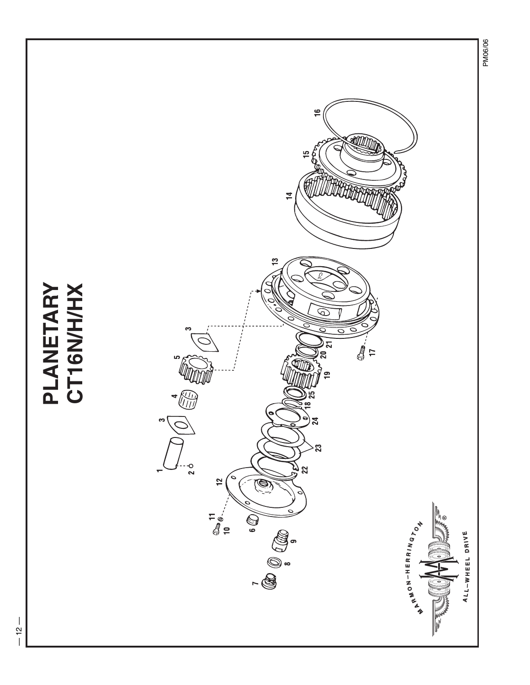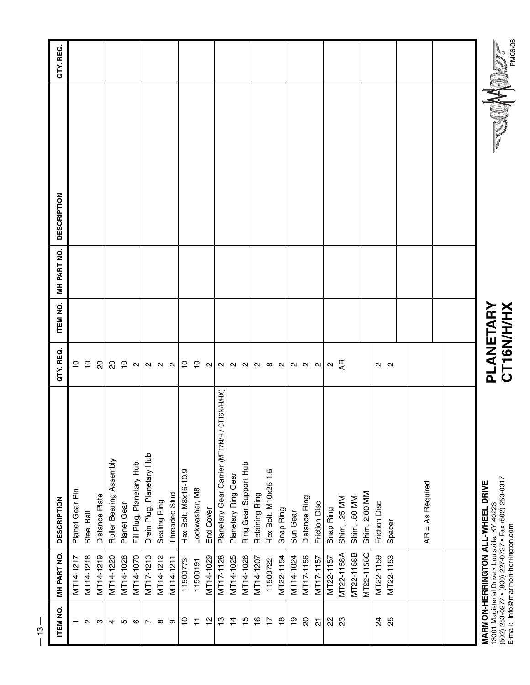| ITEM NO.                 | MH PART NO.                                    | <b>DESCRIPTION</b>                                                                          | QTY. REQ.                                                                     | ITEM NO. | MH PART NO. | <b>DESCRIPTION</b> | QTY. REQ. |
|--------------------------|------------------------------------------------|---------------------------------------------------------------------------------------------|-------------------------------------------------------------------------------|----------|-------------|--------------------|-----------|
|                          | MT14-1217                                      | Planet Gear Pin                                                                             | $\overline{C}$                                                                |          |             |                    |           |
| $\mathbf{\Omega}$        | MT14-1218                                      | Steel Ball                                                                                  | $\overline{1}$                                                                |          |             |                    |           |
| ო                        | MT14-1219                                      | Distance Plate                                                                              | $\rm ^{2}$                                                                    |          |             |                    |           |
| 4                        | MT14-1220                                      | Roller Bearing Assembly                                                                     |                                                                               |          |             |                    |           |
| 5                        | MT14-1028                                      | Planet Gear                                                                                 | 200                                                                           |          |             |                    |           |
| G                        | MT14-1070                                      | Fill Plug, Planetary Hub                                                                    | $\sim$                                                                        |          |             |                    |           |
| $\overline{ }$           | MT17-1213                                      | Drain Plug, Planetary Hub                                                                   |                                                                               |          |             |                    |           |
| $\infty$                 | MT14-1212                                      | Sealing Ring                                                                                |                                                                               |          |             |                    |           |
| ၜ                        | MT14-1211                                      | Threaded Stud                                                                               | $\alpha$ $\alpha$ $\alpha$ $\beta$ $\beta$ $\alpha$ $\alpha$ $\alpha$ $\beta$ |          |             |                    |           |
| $\tilde{c}$              | 11500773                                       | Hex Bolt, M8x16-10.9                                                                        |                                                                               |          |             |                    |           |
| $\overline{1}$           | 11500191                                       | Lockwasher, M8                                                                              |                                                                               |          |             |                    |           |
| $\frac{1}{2}$            | MT14-1029                                      | End Cover                                                                                   |                                                                               |          |             |                    |           |
| $\frac{1}{2}$            | MT17-1128                                      | Planetary Gear Carrier (MT17N/H / CT16N/H/HX)                                               |                                                                               |          |             |                    |           |
| $\frac{4}{4}$            | MT14-1025                                      | Planetary Ring Gear                                                                         |                                                                               |          |             |                    |           |
| $\frac{1}{10}$           | MT14-1026                                      | Ring Gear Support Hub                                                                       |                                                                               |          |             |                    |           |
| $\frac{6}{1}$            | MT14-1207                                      | Retaining Ring                                                                              |                                                                               |          |             |                    |           |
| $\overline{1}$           | 11500722                                       | Hex Bolt, M10x25-1.5                                                                        |                                                                               |          |             |                    |           |
| $\frac{8}{1}$            | MT22-1154                                      | Snap Ring                                                                                   | $\alpha$ $\infty$ $\alpha$ $\alpha$ $\infty$                                  |          |             |                    |           |
| $\frac{6}{1}$            | MT14-1024                                      | Sun Gear                                                                                    |                                                                               |          |             |                    |           |
| $\overline{\mathcal{S}}$ | MT17-1156                                      | Distance Ring                                                                               |                                                                               |          |             |                    |           |
| $\overline{\Omega}$      | MT17-1157                                      | Friction Disc                                                                               |                                                                               |          |             |                    |           |
| $\mathcal{S}$            | MT22-1157                                      | Snap Ring                                                                                   |                                                                               |          |             |                    |           |
| 23                       | MT22-1158A                                     | Shim, .25 MM                                                                                | $\sim$ 5                                                                      |          |             |                    |           |
|                          | MT22-1158B                                     | Shim, .50 MM                                                                                |                                                                               |          |             |                    |           |
|                          | MT22-1158C                                     | Shim, 2.00 MM                                                                               |                                                                               |          |             |                    |           |
| $\overline{2}$           | MT22-1159                                      | <b>Friction Disc</b>                                                                        |                                                                               |          |             |                    |           |
| 25                       | MT22-1153                                      | Spacer                                                                                      | $\sim$ $\sim$                                                                 |          |             |                    |           |
|                          |                                                |                                                                                             |                                                                               |          |             |                    |           |
|                          |                                                | $AR = As Required$                                                                          |                                                                               |          |             |                    |           |
|                          |                                                |                                                                                             |                                                                               |          |             |                    |           |
|                          |                                                |                                                                                             |                                                                               |          |             |                    |           |
|                          |                                                |                                                                                             |                                                                               |          |             |                    |           |
|                          | 13001 Magisterial Drive . Louisville, KY 40223 | MARMON-HERRINGTON ALL-WHEEL DRIVE                                                           | PLANETARY                                                                     |          |             |                    |           |
|                          |                                                | (502) 253-0277 • (800) 227-0727 • Fax (502) 253-0317<br>E-mail:  info@marmon-herrington.com | CT16N/H/HX                                                                    |          |             | <b>WHOLF</b>       |           |
|                          |                                                |                                                                                             |                                                                               |          |             |                    |           |

 $-13-$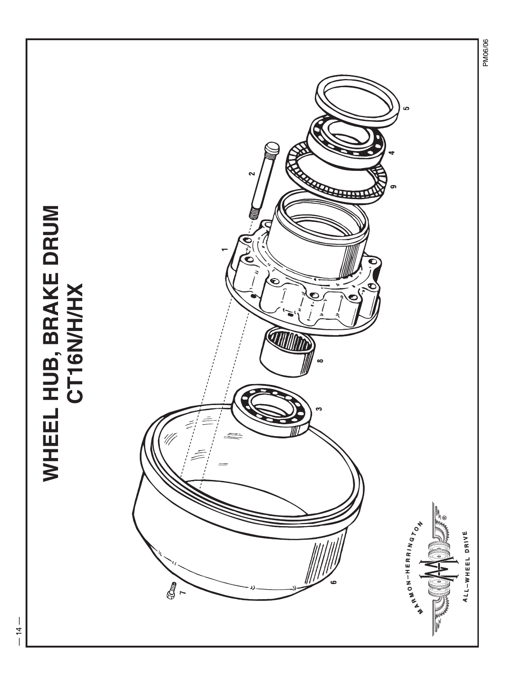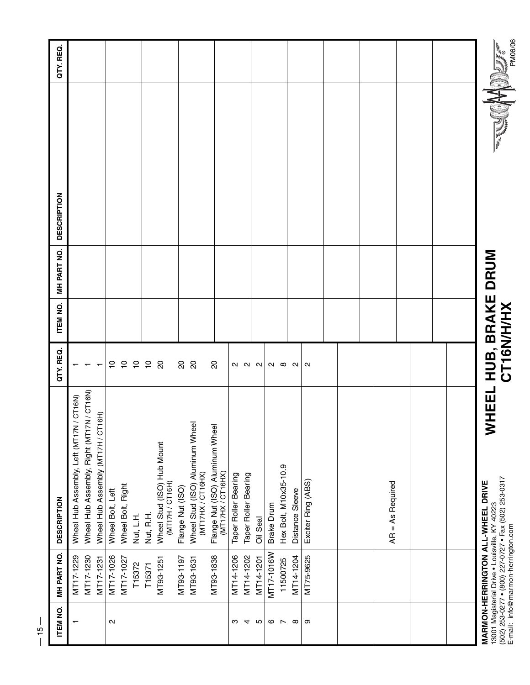| ITEM NO.          | MH PART NO.                         | <b>DESCRIPTION</b>                                                                                                                                                                      | QTY. REQ.                                         | ITEM NO. | MH PART NO. | <b>DESCRIPTION</b> | QTY. REQ.       |
|-------------------|-------------------------------------|-----------------------------------------------------------------------------------------------------------------------------------------------------------------------------------------|---------------------------------------------------|----------|-------------|--------------------|-----------------|
|                   | MT17-1229<br>MT17-1230<br>MT17-1231 | Wheel Hub Assembly, Right (MT17N / CT16N)<br>/CT16N)<br>Wheel Hub Assembly, Left (MT17N                                                                                                 |                                                   |          |             |                    |                 |
| $\mathbf{\Omega}$ | MT17-1026<br>MT17-1027<br>T15372    | Wheel Hub Assembly (MT17H / CT16H)<br>Wheel Bolt, Right<br>Wheel Bolt, Left<br>Nut, L.H.                                                                                                | $\overline{C}$<br>$\overline{C}$<br>$\frac{1}{2}$ |          |             |                    |                 |
|                   | T15371                              | Nut, R.H.                                                                                                                                                                               | $\overline{C}$                                    |          |             |                    |                 |
|                   | MT93-1251                           | Wheel Stud (ISO) Hub Mount<br>(MTTZH / CT16H)                                                                                                                                           | $\overline{\mathcal{S}}$                          |          |             |                    |                 |
|                   | MT93-1197<br>MT93-1631              | Wheel Stud (ISO) Aluminum Wheel<br>(MTT7HX / CT16HX)<br>Flange Nut (ISO)                                                                                                                | $\rm ^{\circ}$<br>$\overline{\mathcal{S}}$        |          |             |                    |                 |
|                   | MT93-1838                           | Flange Nut (ISO) Aluminum Wheel<br>(МТ17НХ / СТ16НХ)                                                                                                                                    | $\overline{\mathcal{S}}$                          |          |             |                    |                 |
| ო                 | MT14-1206                           | Taper Roller Bearing                                                                                                                                                                    |                                                   |          |             |                    |                 |
| 4                 | MT14-1202                           | Taper Roller Bearing                                                                                                                                                                    | Q Q Q                                             |          |             |                    |                 |
| Ю                 | MT14-1201                           | Oil Seal                                                                                                                                                                                |                                                   |          |             |                    |                 |
| $\mathbf \omega$  | MT17-1016W                          | Brake Drum                                                                                                                                                                              |                                                   |          |             |                    |                 |
| $\overline{ }$    | 11500725                            | Hex Bolt, M10x35-10.9                                                                                                                                                                   | $\alpha$ $\infty$ $\alpha$                        |          |             |                    |                 |
| $\infty$          | MT14-1204                           | Distance Sleeve                                                                                                                                                                         |                                                   |          |             |                    |                 |
| တ                 | MT75-9625                           | Exciter Ring (ABS)                                                                                                                                                                      | $\mathbf{\Omega}$                                 |          |             |                    |                 |
|                   |                                     |                                                                                                                                                                                         |                                                   |          |             |                    |                 |
|                   |                                     |                                                                                                                                                                                         |                                                   |          |             |                    |                 |
|                   |                                     |                                                                                                                                                                                         |                                                   |          |             |                    |                 |
|                   |                                     | $AR = As Required$                                                                                                                                                                      |                                                   |          |             |                    |                 |
|                   |                                     |                                                                                                                                                                                         |                                                   |          |             |                    |                 |
|                   |                                     |                                                                                                                                                                                         |                                                   |          |             |                    |                 |
|                   |                                     | ≶<br>13001 Magisterial Drive • Louisville, KY 40223<br>(502) 253-0277 • (800) 227-0727 • Fax (502) 253-0317<br>E-mail:  info@marmon-herrington.com<br>MARMON-HERRINGTON ALL-WHEEL DRIVE | <b>THEEL HUB, BRAKE DRUM</b><br>CT16N/H/HX        |          |             |                    | <b>RACHANGE</b> |

 $-15-$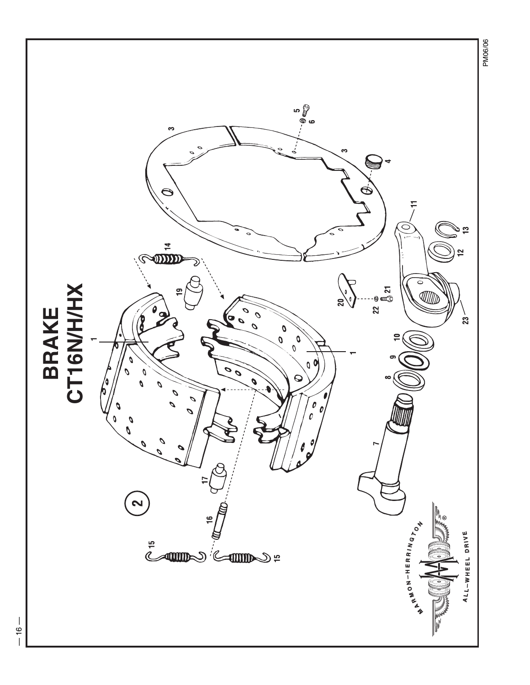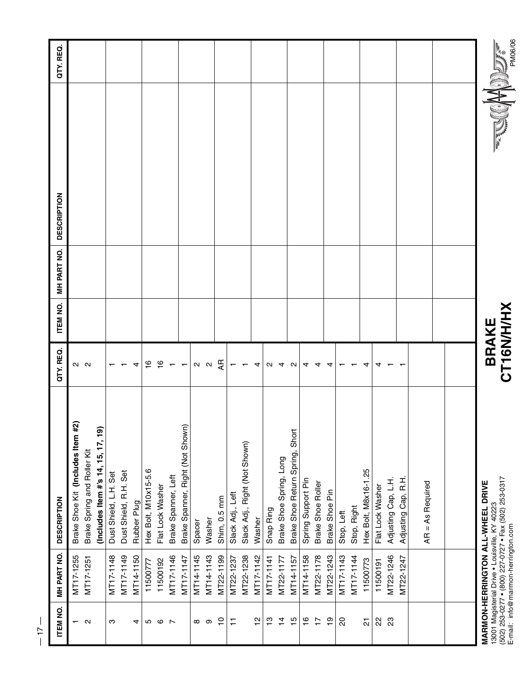| ITEM NO.                 | MH PART NO. | <b>DESCRIPTION</b>                                                                                                                                                                 | QTY. REQ.                         | ITEM NO. | MH PART NO. | <b>DESCRIPTION</b> | QTY. REQ.      |
|--------------------------|-------------|------------------------------------------------------------------------------------------------------------------------------------------------------------------------------------|-----------------------------------|----------|-------------|--------------------|----------------|
| $\overline{\phantom{0}}$ | MT17-1255   | Brake Shoe Kit (Includes Item #2)                                                                                                                                                  | $N$ $N$                           |          |             |                    |                |
| $\sim$                   | MT17-1251   | (Includes Item #'s 14, 15, 17, 19)<br>Brake Spring and Roller Kit                                                                                                                  |                                   |          |             |                    |                |
| ო                        | MT17-1148   | Dust Shield, L.H. Set                                                                                                                                                              |                                   |          |             |                    |                |
|                          | MT17-1149   | Dust Shield, R.H. Set                                                                                                                                                              |                                   |          |             |                    |                |
| 4                        | MT14-1150   | Rubber Plug                                                                                                                                                                        | 4                                 |          |             |                    |                |
| Ю                        | 11500777    | Hex Bolt, M10x15-5.6                                                                                                                                                               | $\frac{6}{1}$                     |          |             |                    |                |
| G                        | 11500192    | Flat Lock Washer                                                                                                                                                                   | $\frac{6}{1}$                     |          |             |                    |                |
| $\overline{a}$           | MT17-1146   | Brake Spanner, Left                                                                                                                                                                |                                   |          |             |                    |                |
|                          | MT17-1147   | Brake Spanner, Right (Not Shown)                                                                                                                                                   |                                   |          |             |                    |                |
| $\infty$                 | MT14-1145   | Spacer                                                                                                                                                                             |                                   |          |             |                    |                |
| ၜ                        | MT14-1143   | Washer                                                                                                                                                                             | $\sim$ $\sim$                     |          |             |                    |                |
| $\tilde{c}$              | MT22-1199   | Shim, 0.5 mm                                                                                                                                                                       | Æ                                 |          |             |                    |                |
| Ξ                        | MT22-1237   | Slack Adj., Left                                                                                                                                                                   |                                   |          |             |                    |                |
|                          | MT22-1238   | Slack Adj., Right (Not Shown)                                                                                                                                                      |                                   |          |             |                    |                |
| $\frac{2}{1}$            | MT17-1142   | Washer                                                                                                                                                                             | 4                                 |          |             |                    |                |
| $\frac{1}{2}$            | MT17-1141   | Snap Ring                                                                                                                                                                          | $\mathbf{N}$                      |          |             |                    |                |
| $\frac{1}{4}$            | MT22-1177   | Brake Shoe Spring, Long                                                                                                                                                            | 4                                 |          |             |                    |                |
| $\frac{15}{2}$           | MT14-1157   | Brake Shoe Return Spring, Short                                                                                                                                                    | N                                 |          |             |                    |                |
| $\frac{6}{1}$            | MT14-1158   | Spring Support Pin                                                                                                                                                                 | 4                                 |          |             |                    |                |
| $\ddot{ }$               | MT22-1178   | <b>Brake Shoe Roller</b>                                                                                                                                                           | 4                                 |          |             |                    |                |
| $\frac{9}{2}$            | MT22-1243   | Brake Shoe Pin                                                                                                                                                                     | 4                                 |          |             |                    |                |
| 20                       | MT17-1143   | Stop, Left                                                                                                                                                                         |                                   |          |             |                    |                |
|                          | MT17-1144   | Stop, Right                                                                                                                                                                        |                                   |          |             |                    |                |
| $\overline{2}$           | 11500773    | Hex Bolt, M8x16-1.25                                                                                                                                                               | 4                                 |          |             |                    |                |
| 22                       | 11500191    | Flat Lock Washer                                                                                                                                                                   | 4                                 |          |             |                    |                |
| 23                       | MT22-1246   | Adjusting Cap, L.H.                                                                                                                                                                |                                   |          |             |                    |                |
|                          | MT22-1247   | Adjusting Cap, R.H.                                                                                                                                                                |                                   |          |             |                    |                |
|                          |             | $AR = As Required$                                                                                                                                                                 |                                   |          |             |                    |                |
|                          |             |                                                                                                                                                                                    |                                   |          |             |                    |                |
|                          |             |                                                                                                                                                                                    |                                   |          |             |                    |                |
|                          |             | 13001 Magisterial Drive • Louisville, KY 40223<br>(502) 253-0277 • (800) 227-0727 • Fax (502) 253-0317<br>E-mail:  info@marmon-herrington.com<br>MARMON-HERRINGTON ALL-WHEEL DRIVE | <b>CT16N/HVHX</b><br><b>BRAKE</b> |          |             | <b>RANGA-ANDER</b> |                |
|                          |             |                                                                                                                                                                                    |                                   |          |             |                    | <b>PM06/06</b> |

 $-17-$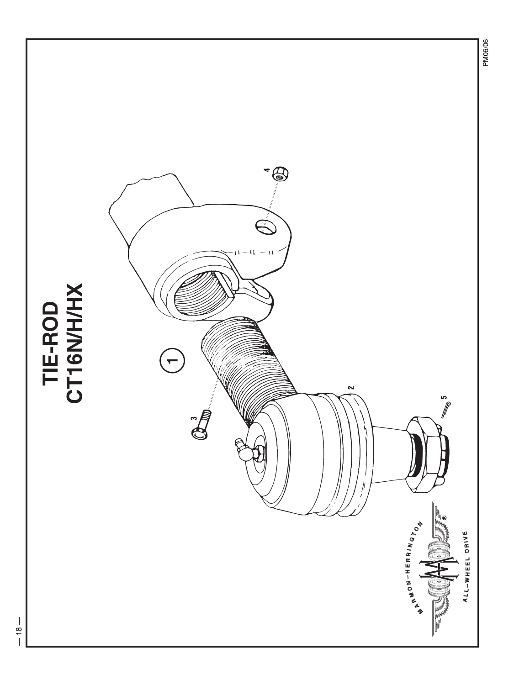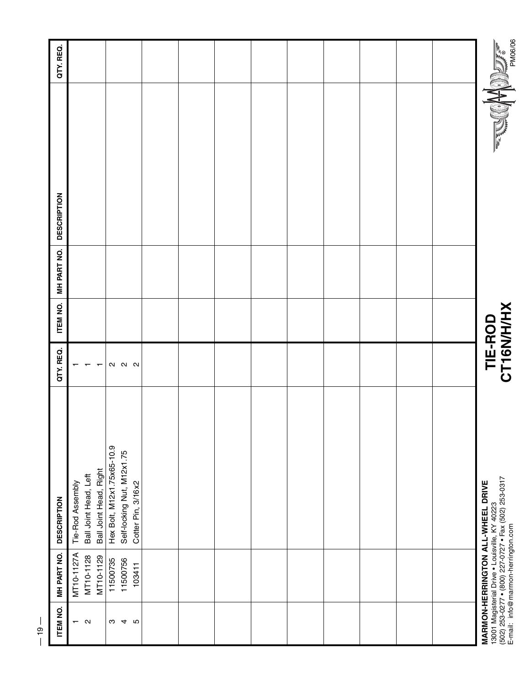| ITEM NO.        | MH PART NO.                          | <b>DESCRIPTION</b>                                                                                                                                                                 | QTY. REQ.                | ITEM NO. | MH PART NO. | <b>DESCRIPTION</b> | QTY, REQ. |  |
|-----------------|--------------------------------------|------------------------------------------------------------------------------------------------------------------------------------------------------------------------------------|--------------------------|----------|-------------|--------------------|-----------|--|
| $ \alpha$       | MT10-1127A<br>MT10-1129<br>MT10-1128 | Ball Joint Head, Right<br>Ball Joint Head, Left<br>Tie-Rod Assembly                                                                                                                | $\overline{\phantom{0}}$ |          |             |                    |           |  |
| $\omega$ 4<br>S | 11500735<br>11500756<br>103411       | Hex Bolt, M12x1.75x65-10.9<br>Self-locking Nut, M12x1.75<br>Cotter Pin, 3/16x2                                                                                                     | Q Q Q                    |          |             |                    |           |  |
|                 |                                      |                                                                                                                                                                                    |                          |          |             |                    |           |  |
|                 |                                      |                                                                                                                                                                                    |                          |          |             |                    |           |  |
|                 |                                      |                                                                                                                                                                                    |                          |          |             |                    |           |  |
|                 |                                      |                                                                                                                                                                                    |                          |          |             |                    |           |  |
|                 |                                      |                                                                                                                                                                                    |                          |          |             |                    |           |  |
|                 |                                      |                                                                                                                                                                                    |                          |          |             |                    |           |  |
|                 |                                      |                                                                                                                                                                                    |                          |          |             |                    |           |  |
|                 |                                      |                                                                                                                                                                                    |                          |          |             |                    |           |  |
|                 |                                      |                                                                                                                                                                                    |                          |          |             |                    |           |  |
|                 |                                      | 13001 Magisterial Drive • Louisville, KY 40223<br>(502) 253-0277 • (800) 227-0727 • Fax (502) 253-0317<br>E-mail:  info@marmon-herrington.com<br>MARMON-HERRINGTON ALL-WHEEL DRIVE | CT16N/H/HX<br>TIE-ROD    |          |             |                    | ER CHANGE |  |

 $-19-$